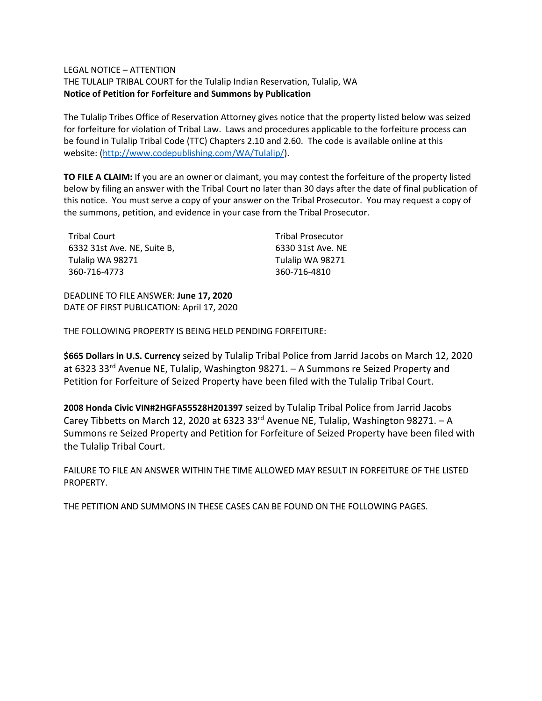#### LEGAL NOTICE – ATTENTION

THE TULALIP TRIBAL COURT for the Tulalip Indian Reservation, Tulalip, WA **Notice of Petition for Forfeiture and Summons by Publication**

The Tulalip Tribes Office of Reservation Attorney gives notice that the property listed below was seized for forfeiture for violation of Tribal Law. Laws and procedures applicable to the forfeiture process can be found in Tulalip Tribal Code (TTC) Chapters 2.10 and 2.60. The code is available online at this website: [\(http://www.codepublishing.com/WA/Tulalip/\)](http://www.codepublishing.com/WA/Tulalip/).

**TO FILE A CLAIM:** If you are an owner or claimant, you may contest the forfeiture of the property listed below by filing an answer with the Tribal Court no later than 30 days after the date of final publication of this notice. You must serve a copy of your answer on the Tribal Prosecutor. You may request a copy of the summons, petition, and evidence in your case from the Tribal Prosecutor.

| Tribal Court                | <b>Tribal Prosecutor</b> |
|-----------------------------|--------------------------|
| 6332 31st Ave. NE. Suite B. | 6330 31st Ave. NE        |
| Tulalip WA 98271            | Tulalip WA 98271         |
| 360-716-4773                | 360-716-4810             |

DEADLINE TO FILE ANSWER: **June 17, 2020** DATE OF FIRST PUBLICATION: April 17, 2020

THE FOLLOWING PROPERTY IS BEING HELD PENDING FORFEITURE:

**\$665 Dollars in U.S. Currency** seized by Tulalip Tribal Police from Jarrid Jacobs on March 12, 2020 at 6323 33rd Avenue NE, Tulalip, Washington 98271. – A Summons re Seized Property and Petition for Forfeiture of Seized Property have been filed with the Tulalip Tribal Court.

**2008 Honda Civic VIN#2HGFA55528H201397** seized by Tulalip Tribal Police from Jarrid Jacobs Carey Tibbetts on March 12, 2020 at 6323 33rd Avenue NE, Tulalip, Washington 98271. – A Summons re Seized Property and Petition for Forfeiture of Seized Property have been filed with the Tulalip Tribal Court.

FAILURE TO FILE AN ANSWER WITHIN THE TIME ALLOWED MAY RESULT IN FORFEITURE OF THE LISTED PROPERTY.

THE PETITION AND SUMMONS IN THESE CASES CAN BE FOUND ON THE FOLLOWING PAGES.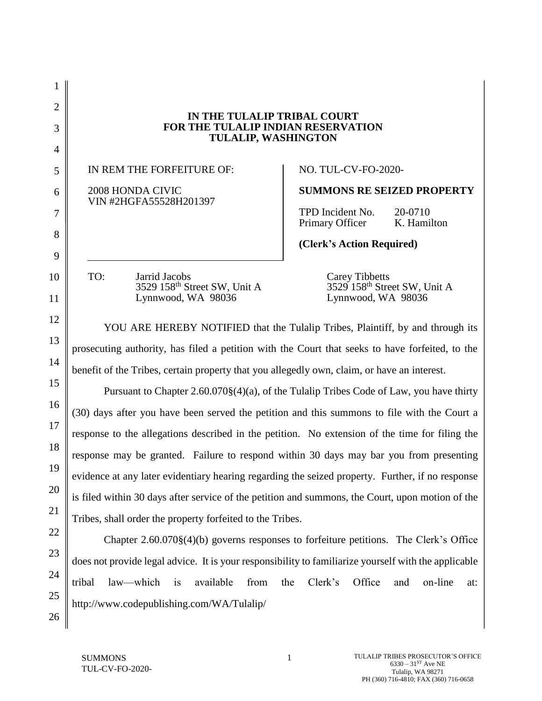2 3 4 5 6 7 8 9 10 11 12 13 14 15 16 17 18 19 20 21 22 23 24 25 **IN THE TULALIP TRIBAL COURT FOR THE TULALIP INDIAN RESERVATION TULALIP, WASHINGTON** IN REM THE FORFEITURE OF: 2008 HONDA CIVIC VIN #2HGFA55528H201397 NO. TUL-CV-FO-2020- **SUMMONS RE SEIZED PROPERTY** TPD Incident No. 20-0710 Primary Officer K. Hamilton **(Clerk's Action Required)** TO: Jarrid Jacobs Carey Tibbetts<br>3529 158<sup>th</sup> Street SW, Unit A 3529 158<sup>th</sup> Street SW, Unit A 3529 158<sup>th</sup> Street SW, Unit A 3529 158<sup>th</sup> Street SW, U<br>
Lynnwood, WA 98036 Lynnwood, WA 98036 Lynnwood, WA 98036 Lynnwood, WA 98036 YOU ARE HEREBY NOTIFIED that the Tulalip Tribes, Plaintiff, by and through its prosecuting authority, has filed a petition with the Court that seeks to have forfeited, to the benefit of the Tribes, certain property that you allegedly own, claim, or have an interest. Pursuant to Chapter 2.60.070§(4)(a), of the Tulalip Tribes Code of Law, you have thirty (30) days after you have been served the petition and this summons to file with the Court a response to the allegations described in the petition. No extension of the time for filing the response may be granted. Failure to respond within 30 days may bar you from presenting evidence at any later evidentiary hearing regarding the seized property. Further, if no response is filed within 30 days after service of the petition and summons, the Court, upon motion of the Tribes, shall order the property forfeited to the Tribes. Chapter 2.60.070§(4)(b) governs responses to forfeiture petitions. The Clerk's Office does not provide legal advice. It is your responsibility to familiarize yourself with the applicable tribal law—which is available from the Clerk's Office and on-line at: http://www.codepublishing.com/WA/Tulalip/

26

1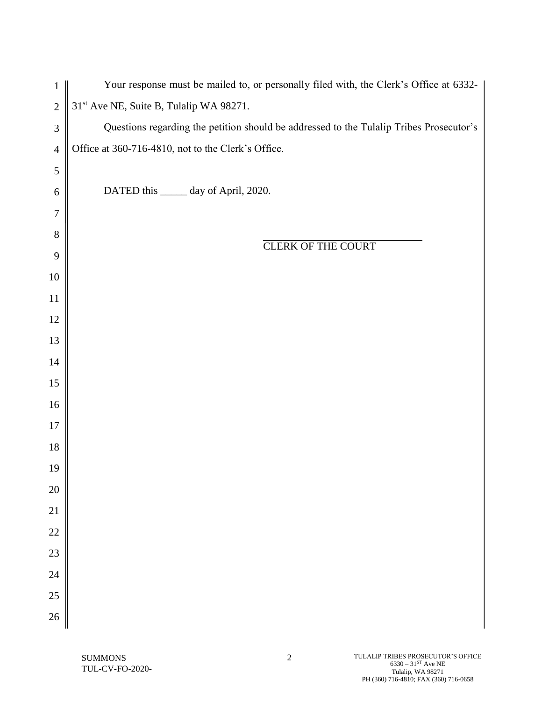| $\mathbf{1}$     | Your response must be mailed to, or personally filed with, the Clerk's Office at 6332-  |
|------------------|-----------------------------------------------------------------------------------------|
| $\overline{2}$   | 31 <sup>st</sup> Ave NE, Suite B, Tulalip WA 98271.                                     |
| $\mathfrak{Z}$   | Questions regarding the petition should be addressed to the Tulalip Tribes Prosecutor's |
| $\overline{4}$   | Office at 360-716-4810, not to the Clerk's Office.                                      |
| $\sqrt{5}$       |                                                                                         |
| $\boldsymbol{6}$ | DATED this _____ day of April, 2020.                                                    |
| $\tau$           |                                                                                         |
| $8\,$            | <b>CLERK OF THE COURT</b>                                                               |
| 9                |                                                                                         |
| $10\,$           |                                                                                         |
| 11               |                                                                                         |
| 12               |                                                                                         |
| 13               |                                                                                         |
| 14               |                                                                                         |
| 15               |                                                                                         |
| 16               |                                                                                         |
| $17\,$           |                                                                                         |
| $18\,$           |                                                                                         |
| 19               |                                                                                         |
| 20               |                                                                                         |
| 21               |                                                                                         |
| 22               |                                                                                         |
| 23               |                                                                                         |
| 24               |                                                                                         |
| 25               |                                                                                         |
| 26               |                                                                                         |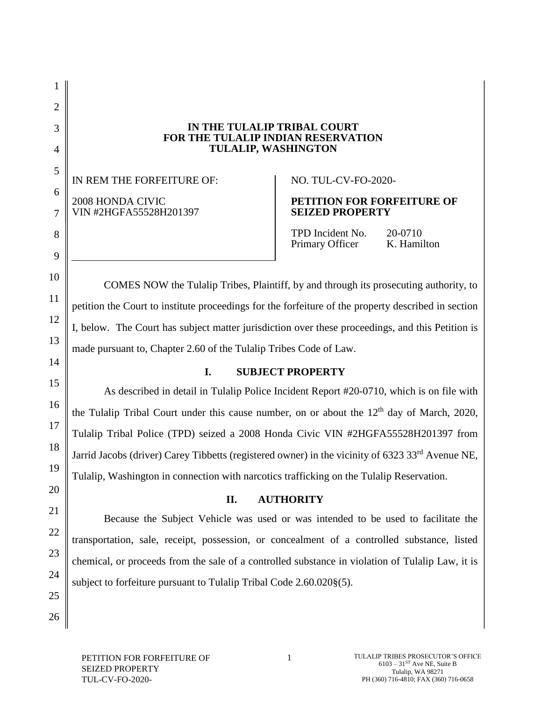### **IN THE TULALIP TRIBAL COURT FOR THE TULALIP INDIAN RESERVATION TULALIP, WASHINGTON**

IN REM THE FORFEITURE OF: 2008 HONDA CIVIC VIN #2HGFA55528H201397

# NO. TUL-CV-FO-2020-

# **PETITION FOR FORFEITURE OF SEIZED PROPERTY**

TPD Incident No. 20-0710 Primary Officer K. Hamilton

COMES NOW the Tulalip Tribes, Plaintiff, by and through its prosecuting authority, to petition the Court to institute proceedings for the forfeiture of the property described in section I, below. The Court has subject matter jurisdiction over these proceedings, and this Petition is made pursuant to, Chapter 2.60 of the Tulalip Tribes Code of Law.

## **I. SUBJECT PROPERTY**

As described in detail in Tulalip Police Incident Report #20-0710, which is on file with the Tulalip Tribal Court under this cause number, on or about the  $12<sup>th</sup>$  day of March, 2020, Tulalip Tribal Police (TPD) seized a 2008 Honda Civic VIN #2HGFA55528H201397 from Jarrid Jacobs (driver) Carey Tibbetts (registered owner) in the vicinity of 6323 33rd Avenue NE, Tulalip, Washington in connection with narcotics trafficking on the Tulalip Reservation.

## **II. AUTHORITY**

Because the Subject Vehicle was used or was intended to be used to facilitate the transportation, sale, receipt, possession, or concealment of a controlled substance, listed chemical, or proceeds from the sale of a controlled substance in violation of Tulalip Law, it is subject to forfeiture pursuant to Tulalip Tribal Code 2.60.020§(5).

1

2

3